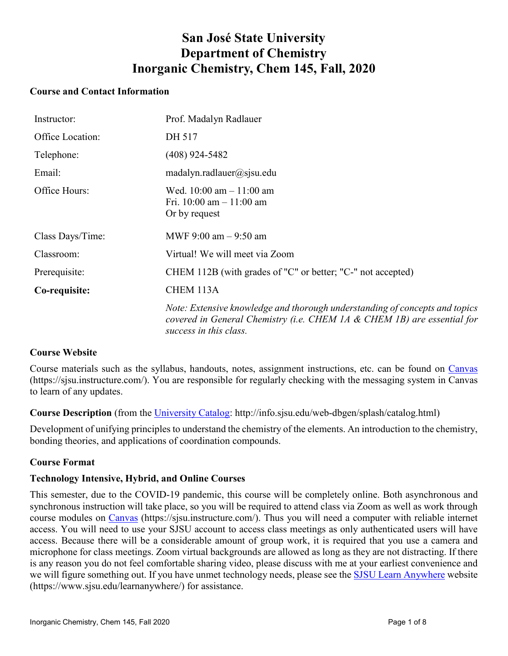# **San José State University Department of Chemistry Inorganic Chemistry, Chem 145, Fall, 2020**

## **Course and Contact Information**

| Instructor:      | Prof. Madalyn Radlauer                                                                                                                                                           |
|------------------|----------------------------------------------------------------------------------------------------------------------------------------------------------------------------------|
| Office Location: | DH 517                                                                                                                                                                           |
| Telephone:       | $(408)$ 924-5482                                                                                                                                                                 |
| Email:           | matalyn.radlauer@sisu.edu                                                                                                                                                        |
| Office Hours:    | Wed. $10:00$ am $-11:00$ am<br>Fri. 10:00 am $-$ 11:00 am<br>Or by request                                                                                                       |
| Class Days/Time: | MWF 9:00 am $-$ 9:50 am                                                                                                                                                          |
| Classroom:       | Virtual! We will meet via Zoom                                                                                                                                                   |
| Prerequisite:    | CHEM 112B (with grades of "C" or better; "C-" not accepted)                                                                                                                      |
| Co-requisite:    | CHEM 113A                                                                                                                                                                        |
|                  | Note: Extensive knowledge and thorough understanding of concepts and topics<br>covered in General Chemistry (i.e. CHEM 1A & CHEM 1B) are essential for<br>success in this class. |

# **Course Website**

Course materials such as the syllabus, handouts, notes, assignment instructions, etc. can be found on [Canvas](https://sjsu.instructure.com/) (https://sjsu.instructure.com/). You are responsible for regularly checking with the messaging system in Canvas to learn of any updates.

**Course Description** (from the University Catalog: http://info.sjsu.edu/web-dbgen/splash/catalog.html)

Development of unifying principles to understand the chemistry of the elements. An introduction to the chemistry, bonding theories, and applications of coordination compounds.

# **Course Format**

## **Technology Intensive, Hybrid, and Online Courses**

This semester, due to the COVID-19 pandemic, this course will be completely online. Both asynchronous and synchronous instruction will take place, so you will be required to attend class via Zoom as well as work through course modules on [Canvas](https://sjsu.instructure.com/) (https://sjsu.instructure.com/). Thus you will need a computer with reliable internet access. You will need to use your SJSU account to access class meetings as only authenticated users will have access. Because there will be a considerable amount of group work, it is required that you use a camera and microphone for class meetings. Zoom virtual backgrounds are allowed as long as they are not distracting. If there is any reason you do not feel comfortable sharing video, please discuss with me at your earliest convenience and we will figure something out. If you have unmet technology needs, please see the SJSU Learn Anywhere website (https://www.sjsu.edu/learnanywhere/) for assistance.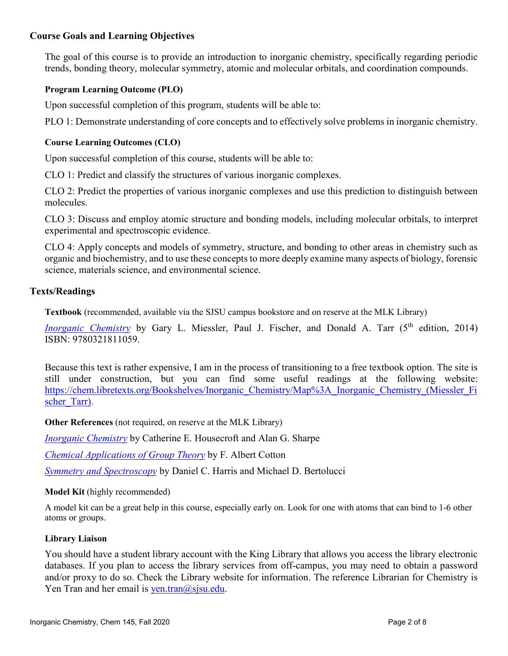## **Course Goals and Learning Objectives**

The goal of this course is to provide an introduction to inorganic chemistry, specifically regarding periodic trends, bonding theory, molecular symmetry, atomic and molecular orbitals, and coordination compounds.

#### **Program Learning Outcome (PLO)**

Upon successful completion of this program, students will be able to:

PLO 1: Demonstrate understanding of core concepts and to effectively solve problems in inorganic chemistry.

#### **Course Learning Outcomes (CLO)**

Upon successful completion of this course, students will be able to:

CLO 1: Predict and classify the structures of various inorganic complexes.

CLO 2: Predict the properties of various inorganic complexes and use this prediction to distinguish between molecules.

CLO 3: Discuss and employ atomic structure and bonding models, including molecular orbitals, to interpret experimental and spectroscopic evidence.

CLO 4: Apply concepts and models of symmetry, structure, and bonding to other areas in chemistry such as organic and biochemistry, and to use these concepts to more deeply examine many aspects of biology, forensic science, materials science, and environmental science.

#### **Texts/Readings**

**Textbook** (recommended, available via the SJSU campus bookstore and on reserve at the MLK Library)

*[Inorganic Chemistry](https://www.pearsonhighered.com/miessler5einfo/)* by Gary L. Miessler, Paul J. Fischer, and Donald A. Tarr (5<sup>th</sup> edition, 2014) ISBN: 9780321811059.

Because this text is rather expensive, I am in the process of transitioning to a free textbook option. The site is still under construction, but you can find some useful readings at the following website: [https://chem.libretexts.org/Bookshelves/Inorganic\\_Chemistry/Map%3A\\_Inorganic\\_Chemistry\\_\(Miessler\\_Fi](https://chem.libretexts.org/Bookshelves/Inorganic_Chemistry/Map%3A_Inorganic_Chemistry_(Miessler_Fischer_Tarr)) scher Tarr).

**Other References** (not required, on reserve at the MLK Library)

*[Inorganic Chemistry](http://www.pearsoned.co.uk/housecroft)* by Catherine E. Housecroft and Alan G. Sharpe

*[Chemical Applications of Group Theory](http://www.wiley.com/WileyCDA/WileyTitle/productCd-0471510947.html)* by F. Albert Cotton

*[Symmetry and Spectroscopy](http://store.doverpublications.com/048666144x.html)* by Daniel C. Harris and Michael D. Bertolucci

#### **Model Kit** (highly recommended)

A model kit can be a great help in this course, especially early on. Look for one with atoms that can bind to 1-6 other atoms or groups.

#### **Library Liaison**

You should have a student library account with the King Library that allows you access the library electronic databases. If you plan to access the library services from off-campus, you may need to obtain a password and/or proxy to do so. Check the Library website for information. The reference Librarian for Chemistry is Yen Tran and her email is yen.tran $(\omega)$ sjsu.edu.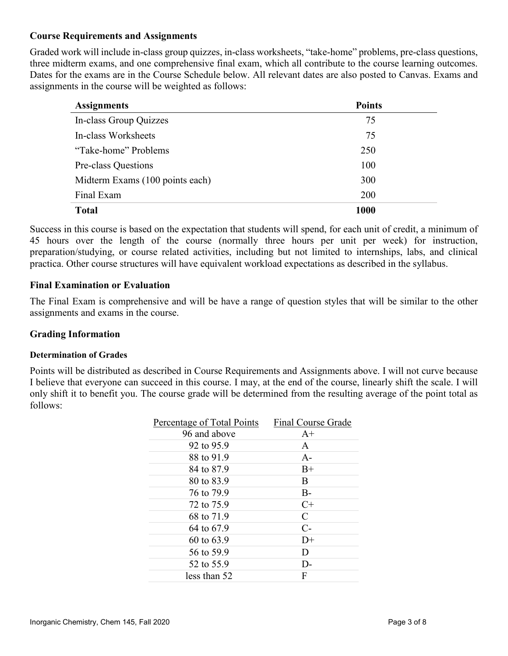## **Course Requirements and Assignments**

Graded work will include in-class group quizzes, in-class worksheets, "take-home" problems, pre-class questions, three midterm exams, and one comprehensive final exam, which all contribute to the course learning outcomes. Dates for the exams are in the Course Schedule below. All relevant dates are also posted to Canvas. Exams and assignments in the course will be weighted as follows:

| <b>Assignments</b>              | <b>Points</b> |
|---------------------------------|---------------|
| In-class Group Quizzes          | 75            |
| In-class Worksheets             | 75            |
| "Take-home" Problems            | 250           |
| Pre-class Questions             | 100           |
| Midterm Exams (100 points each) | 300           |
| Final Exam                      | 200           |
| <b>Total</b>                    | 1000          |

Success in this course is based on the expectation that students will spend, for each unit of credit, a minimum of 45 hours over the length of the course (normally three hours per unit per week) for instruction, preparation/studying, or course related activities, including but not limited to internships, labs, and clinical practica. Other course structures will have equivalent workload expectations as described in the syllabus.

## **Final Examination or Evaluation**

The Final Exam is comprehensive and will be have a range of question styles that will be similar to the other assignments and exams in the course.

## **Grading Information**

#### **Determination of Grades**

Points will be distributed as described in Course Requirements and Assignments above. I will not curve because I believe that everyone can succeed in this course. I may, at the end of the course, linearly shift the scale. I will only shift it to benefit you. The course grade will be determined from the resulting average of the point total as follows:

| Final Course Grade |
|--------------------|
| $A+$               |
| A                  |
| $A -$              |
| $B+$               |
| B                  |
| $B -$              |
| $C+$               |
| $\mathcal{C}$      |
| $C-$               |
| $D+$               |
| D                  |
| D-                 |
| F                  |
|                    |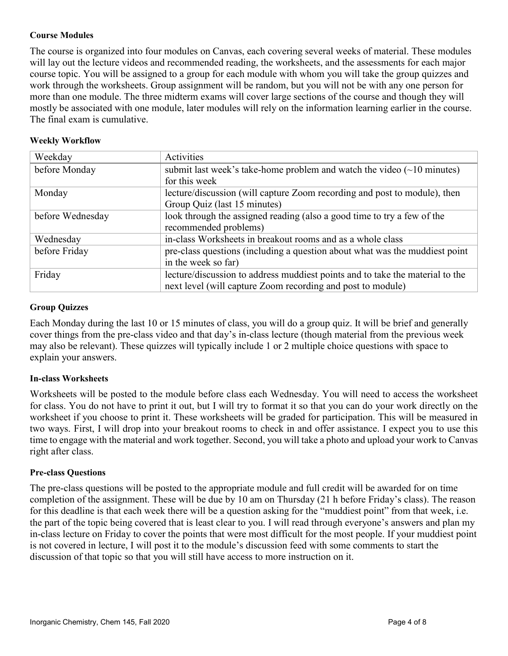## **Course Modules**

The course is organized into four modules on Canvas, each covering several weeks of material. These modules will lay out the lecture videos and recommended reading, the worksheets, and the assessments for each major course topic. You will be assigned to a group for each module with whom you will take the group quizzes and work through the worksheets. Group assignment will be random, but you will not be with any one person for more than one module. The three midterm exams will cover large sections of the course and though they will mostly be associated with one module, later modules will rely on the information learning earlier in the course. The final exam is cumulative.

#### **Weekly Workflow**

| Weekday          | Activities                                                                           |
|------------------|--------------------------------------------------------------------------------------|
| before Monday    | submit last week's take-home problem and watch the video $(\sim 10 \text{ minutes})$ |
|                  | for this week                                                                        |
| Monday           | lecture/discussion (will capture Zoom recording and post to module), then            |
|                  | Group Quiz (last 15 minutes)                                                         |
| before Wednesday | look through the assigned reading (also a good time to try a few of the              |
|                  | recommended problems)                                                                |
| Wednesday        | in-class Worksheets in breakout rooms and as a whole class                           |
| before Friday    | pre-class questions (including a question about what was the muddiest point          |
|                  | in the week so far)                                                                  |
| Friday           | lecture/discussion to address muddiest points and to take the material to the        |
|                  | next level (will capture Zoom recording and post to module)                          |

## **Group Quizzes**

Each Monday during the last 10 or 15 minutes of class, you will do a group quiz. It will be brief and generally cover things from the pre-class video and that day's in-class lecture (though material from the previous week may also be relevant). These quizzes will typically include 1 or 2 multiple choice questions with space to explain your answers.

## **In-class Worksheets**

Worksheets will be posted to the module before class each Wednesday. You will need to access the worksheet for class. You do not have to print it out, but I will try to format it so that you can do your work directly on the worksheet if you choose to print it. These worksheets will be graded for participation. This will be measured in two ways. First, I will drop into your breakout rooms to check in and offer assistance. I expect you to use this time to engage with the material and work together. Second, you will take a photo and upload your work to Canvas right after class.

#### **Pre-class Questions**

The pre-class questions will be posted to the appropriate module and full credit will be awarded for on time completion of the assignment. These will be due by 10 am on Thursday (21 h before Friday's class). The reason for this deadline is that each week there will be a question asking for the "muddiest point" from that week, i.e. the part of the topic being covered that is least clear to you. I will read through everyone's answers and plan my in-class lecture on Friday to cover the points that were most difficult for the most people. If your muddiest point is not covered in lecture, I will post it to the module's discussion feed with some comments to start the discussion of that topic so that you will still have access to more instruction on it.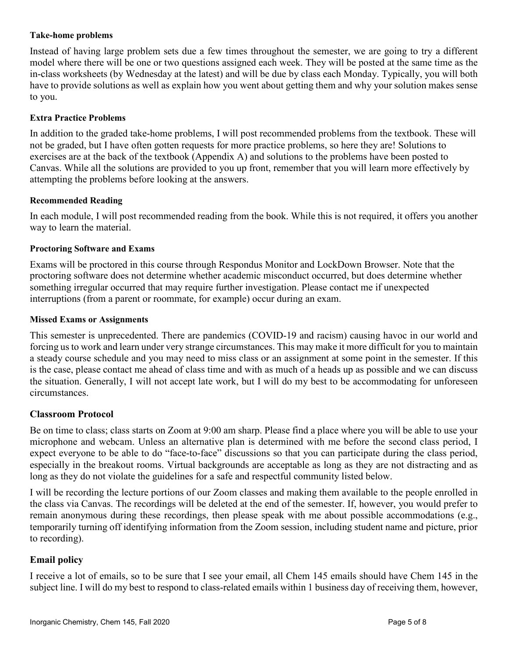#### **Take-home problems**

Instead of having large problem sets due a few times throughout the semester, we are going to try a different model where there will be one or two questions assigned each week. They will be posted at the same time as the in-class worksheets (by Wednesday at the latest) and will be due by class each Monday. Typically, you will both have to provide solutions as well as explain how you went about getting them and why your solution makes sense to you.

#### **Extra Practice Problems**

In addition to the graded take-home problems, I will post recommended problems from the textbook. These will not be graded, but I have often gotten requests for more practice problems, so here they are! Solutions to exercises are at the back of the textbook (Appendix A) and solutions to the problems have been posted to Canvas. While all the solutions are provided to you up front, remember that you will learn more effectively by attempting the problems before looking at the answers.

#### **Recommended Reading**

In each module, I will post recommended reading from the book. While this is not required, it offers you another way to learn the material.

#### **Proctoring Software and Exams**

Exams will be proctored in this course through Respondus Monitor and LockDown Browser. Note that the proctoring software does not determine whether academic misconduct occurred, but does determine whether something irregular occurred that may require further investigation. Please contact me if unexpected interruptions (from a parent or roommate, for example) occur during an exam.

#### **Missed Exams or Assignments**

This semester is unprecedented. There are pandemics (COVID-19 and racism) causing havoc in our world and forcing us to work and learn under very strange circumstances. This may make it more difficult for you to maintain a steady course schedule and you may need to miss class or an assignment at some point in the semester. If this is the case, please contact me ahead of class time and with as much of a heads up as possible and we can discuss the situation. Generally, I will not accept late work, but I will do my best to be accommodating for unforeseen circumstances.

## **Classroom Protocol**

Be on time to class; class starts on Zoom at 9:00 am sharp. Please find a place where you will be able to use your microphone and webcam. Unless an alternative plan is determined with me before the second class period, I expect everyone to be able to do "face-to-face" discussions so that you can participate during the class period, especially in the breakout rooms. Virtual backgrounds are acceptable as long as they are not distracting and as long as they do not violate the guidelines for a safe and respectful community listed below.

I will be recording the lecture portions of our Zoom classes and making them available to the people enrolled in the class via Canvas. The recordings will be deleted at the end of the semester. If, however, you would prefer to remain anonymous during these recordings, then please speak with me about possible accommodations (e.g., temporarily turning off identifying information from the Zoom session, including student name and picture, prior to recording).

## **Email policy**

I receive a lot of emails, so to be sure that I see your email, all Chem 145 emails should have Chem 145 in the subject line. I will do my best to respond to class-related emails within 1 business day of receiving them, however,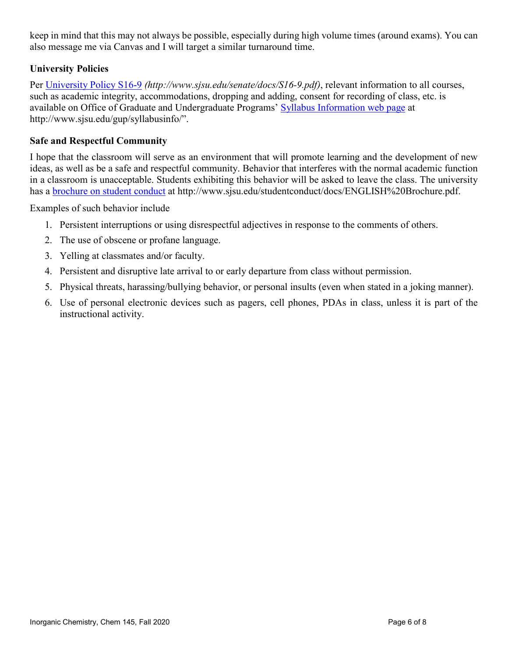keep in mind that this may not always be possible, especially during high volume times (around exams). You can also message me via Canvas and I will target a similar turnaround time.

# **University Policies**

Per [University Policy S16-9](http://www.sjsu.edu/senate/docs/S16-9.pdf) *(http://www.sjsu.edu/senate/docs/S16-9.pdf)*, relevant information to all courses, such as academic integrity, accommodations, dropping and adding, consent for recording of class, etc. is available on Office of Graduate and Undergraduate Programs' [Syllabus Information web page](http://www.sjsu.edu/gup/syllabusinfo/) at http://www.sjsu.edu/gup/syllabusinfo/".

## **Safe and Respectful Community**

I hope that the classroom will serve as an environment that will promote learning and the development of new ideas, as well as be a safe and respectful community. Behavior that interferes with the normal academic function in a classroom is unacceptable. Students exhibiting this behavior will be asked to leave the class. The university has a **brochure on student conduct** at http://www.sjsu.edu/studentconduct/docs/ENGLISH%20Brochure.pdf.

Examples of such behavior include

- 1. Persistent interruptions or using disrespectful adjectives in response to the comments of others.
- 2. The use of obscene or profane language.
- 3. Yelling at classmates and/or faculty.
- 4. Persistent and disruptive late arrival to or early departure from class without permission.
- 5. Physical threats, harassing/bullying behavior, or personal insults (even when stated in a joking manner).
- 6. Use of personal electronic devices such as pagers, cell phones, PDAs in class, unless it is part of the instructional activity.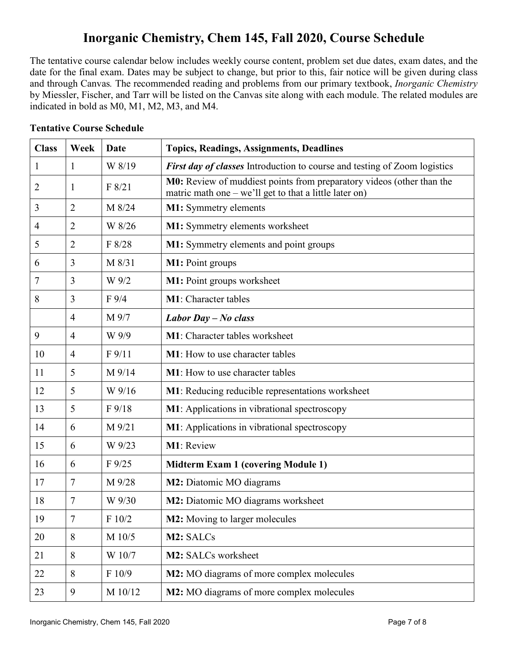# **Inorganic Chemistry, Chem 145, Fall 2020, Course Schedule**

The tentative course calendar below includes weekly course content, problem set due dates, exam dates, and the date for the final exam. Dates may be subject to change, but prior to this, fair notice will be given during class and through Canvas*.* The recommended reading and problems from our primary textbook, *Inorganic Chemistry* by Miessler, Fischer, and Tarr will be listed on the Canvas site along with each module. The related modules are indicated in bold as M0, M1, M2, M3, and M4.

| <b>Class</b> | Week           | <b>Date</b>  | <b>Topics, Readings, Assignments, Deadlines</b>                                                                                 |
|--------------|----------------|--------------|---------------------------------------------------------------------------------------------------------------------------------|
| 1            | 1              | W 8/19       | <b>First day of classes</b> Introduction to course and testing of Zoom logistics                                                |
| 2            | 1              | F 8/21       | M0: Review of muddiest points from preparatory videos (other than the<br>matric math one - we'll get to that a little later on) |
| 3            | $\overline{2}$ | M 8/24       | <b>M1:</b> Symmetry elements                                                                                                    |
| 4            | $\overline{2}$ | W 8/26       | M1: Symmetry elements worksheet                                                                                                 |
| 5            | $\overline{2}$ | F 8/28       | M1: Symmetry elements and point groups                                                                                          |
| 6            | 3              | M 8/31       | M1: Point groups                                                                                                                |
| 7            | 3              | W 9/2        | M1: Point groups worksheet                                                                                                      |
| 8            | 3              | $F\,9/4$     | M1: Character tables                                                                                                            |
|              | $\overline{4}$ | M 9/7        | Labor Day $-No$ class                                                                                                           |
| 9            | $\overline{4}$ | W 9/9        | M1: Character tables worksheet                                                                                                  |
| 10           | $\overline{4}$ | F 9/11       | M1: How to use character tables                                                                                                 |
| 11           | 5              | M 9/14       | <b>M1</b> : How to use character tables                                                                                         |
| 12           | 5              | W 9/16       | <b>M1</b> : Reducing reducible representations worksheet                                                                        |
| 13           | 5              | $F\,9/18$    | M1: Applications in vibrational spectroscopy                                                                                    |
| 14           | 6              | M 9/21       | M1: Applications in vibrational spectroscopy                                                                                    |
| 15           | 6              | W 9/23       | M1: Review                                                                                                                      |
| 16           | 6              | $F\,9/25$    | <b>Midterm Exam 1 (covering Module 1)</b>                                                                                       |
| 17           | 7              | M 9/28       | M2: Diatomic MO diagrams                                                                                                        |
| 18           | 7              | W 9/30       | M2: Diatomic MO diagrams worksheet                                                                                              |
| 19           | $\tau$         | $\rm F$ 10/2 | M2: Moving to larger molecules                                                                                                  |
| 20           | 8              | M 10/5       | M2: SALCs                                                                                                                       |
| 21           | 8              | W 10/7       | M2: SALCs worksheet                                                                                                             |
| 22           | 8              | F 10/9       | M2: MO diagrams of more complex molecules                                                                                       |
| 23           | 9              | M 10/12      | M2: MO diagrams of more complex molecules                                                                                       |

## **Tentative Course Schedule**